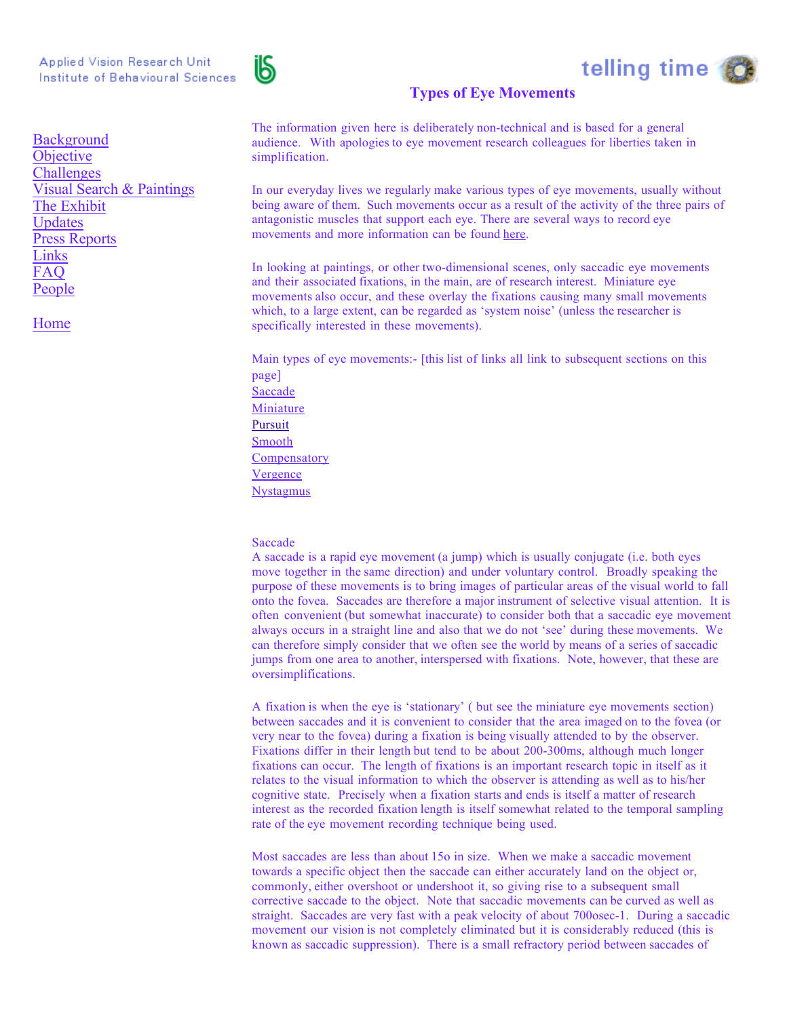

# telling time

# **Types of Eye Movements**

The information given here is deliberately non-technical and is based for a general audience. With apologies to eye movement research colleagues for liberties taken in simplification.

In our everyday lives we regularly make various types of eye movements, usually without being aware of them. Such movements occur as a result of the activity of the three pairs of antagonistic muscles that support each eye. There are several ways to record eye movements and more information can be found here.

In looking at paintings, or other two-dimensional scenes, only saccadic eye movements and their associated fixations, in the main, are of research interest. Miniature eye movements also occur, and these overlay the fixations causing many small movements which, to a large extent, can be regarded as 'system noise' (unless the researcher is specifically interested in these movements).

Main types of eye movements:- [this list of links all link to subsequent sections on this page] Saccade Miniature Pursuit Smooth **Compensatory** Vergence Nystagmus

# Saccade

A saccade is a rapid eye movement (a jump) which is usually conjugate (i.e. both eyes move together in the same direction) and under voluntary control. Broadly speaking the purpose of these movements is to bring images of particular areas of the visual world to fall onto the fovea. Saccades are therefore a major instrument of selective visual attention. It is often convenient (but somewhat inaccurate) to consider both that a saccadic eye movement always occurs in a straight line and also that we do not 'see' during these movements. We can therefore simply consider that we often see the world by means of a series of saccadic jumps from one area to another, interspersed with fixations. Note, however, that these are oversimplifications.

A fixation is when the eye is 'stationary' ( but see the miniature eye movements section) between saccades and it is convenient to consider that the area imaged on to the fovea (or very near to the fovea) during a fixation is being visually attended to by the observer. Fixations differ in their length but tend to be about 200-300ms, although much longer fixations can occur. The length of fixations is an important research topic in itself as it relates to the visual information to which the observer is attending as well as to his/her cognitive state. Precisely when a fixation starts and ends is itself a matter of research interest as the recorded fixation length is itself somewhat related to the temporal sampling rate of the eye movement recording technique being used.

Most saccades are less than about 15o in size. When we make a saccadic movement towards a specific object then the saccade can either accurately land on the object or, commonly, either overshoot or undershoot it, so giving rise to a subsequent small corrective saccade to the object. Note that saccadic movements can be curved as well as straight. Saccades are very fast with a peak velocity of about 700osec-1. During a saccadic movement our vision is not completely eliminated but it is considerably reduced (this is known as saccadic suppression). There is a small refractory period between saccades of

**Background Objective Challenges** Visual Search & Paintings The Exhibit Updates Press Reports Links FAQ People

Home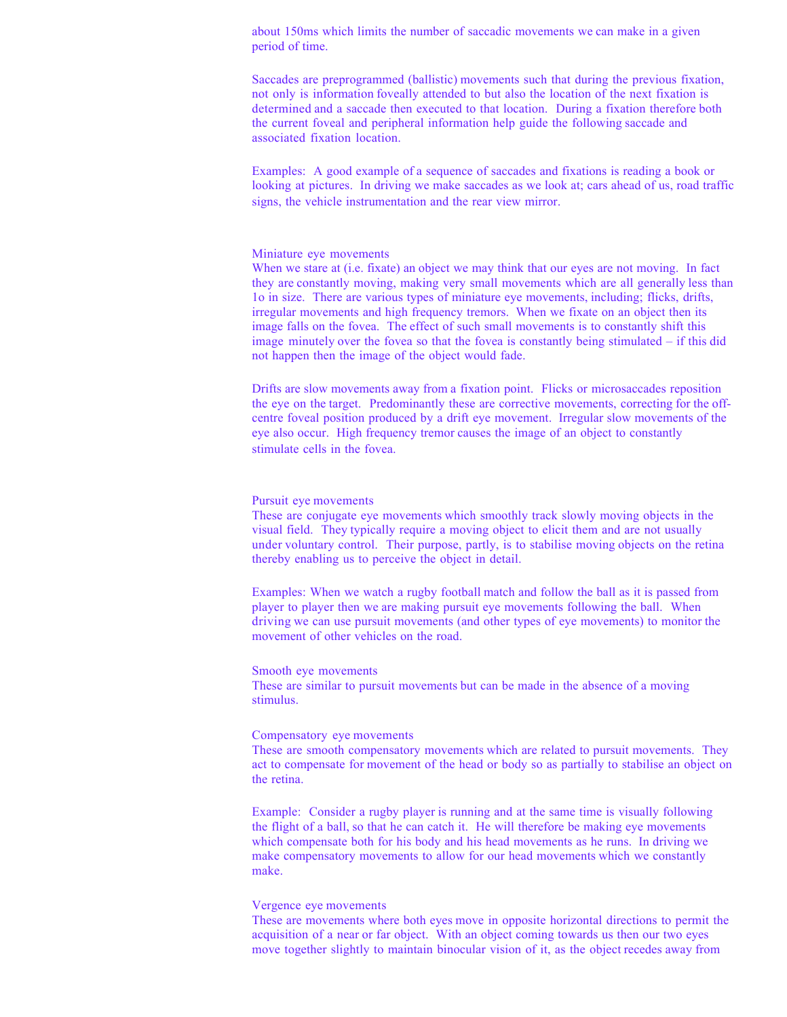about 150ms which limits the number of saccadic movements we can make in a given period of time.

Saccades are preprogrammed (ballistic) movements such that during the previous fixation, not only is information foveally attended to but also the location of the next fixation is determined and a saccade then executed to that location. During a fixation therefore both the current foveal and peripheral information help guide the following saccade and associated fixation location.

Examples: A good example of a sequence of saccades and fixations is reading a book or looking at pictures. In driving we make saccades as we look at; cars ahead of us, road traffic signs, the vehicle instrumentation and the rear view mirror.

#### Miniature eye movements

When we stare at (i.e. fixate) an object we may think that our eyes are not moving. In fact they are constantly moving, making very small movements which are all generally less than 1o in size. There are various types of miniature eye movements, including; flicks, drifts, irregular movements and high frequency tremors. When we fixate on an object then its image falls on the fovea. The effect of such small movements is to constantly shift this image minutely over the fovea so that the fovea is constantly being stimulated – if this did not happen then the image of the object would fade.

Drifts are slow movements away from a fixation point. Flicks or microsaccades reposition the eye on the target. Predominantly these are corrective movements, correcting for the offcentre foveal position produced by a drift eye movement. Irregular slow movements of the eye also occur. High frequency tremor causes the image of an object to constantly stimulate cells in the fovea.

#### Pursuit eye movements

These are conjugate eye movements which smoothly track slowly moving objects in the visual field. They typically require a moving object to elicit them and are not usually under voluntary control. Their purpose, partly, is to stabilise moving objects on the retina thereby enabling us to perceive the object in detail.

Examples: When we watch a rugby football match and follow the ball as it is passed from player to player then we are making pursuit eye movements following the ball. When driving we can use pursuit movements (and other types of eye movements) to monitor the movement of other vehicles on the road.

#### Smooth eye movements

These are similar to pursuit movements but can be made in the absence of a moving stimulus.

### Compensatory eye movements

These are smooth compensatory movements which are related to pursuit movements. They act to compensate for movement of the head or body so as partially to stabilise an object on the retina.

Example: Consider a rugby player is running and at the same time is visually following the flight of a ball, so that he can catch it. He will therefore be making eye movements which compensate both for his body and his head movements as he runs. In driving we make compensatory movements to allow for our head movements which we constantly make.

#### Vergence eye movements

These are movements where both eyes move in opposite horizontal directions to permit the acquisition of a near or far object. With an object coming towards us then our two eyes move together slightly to maintain binocular vision of it, as the object recedes away from